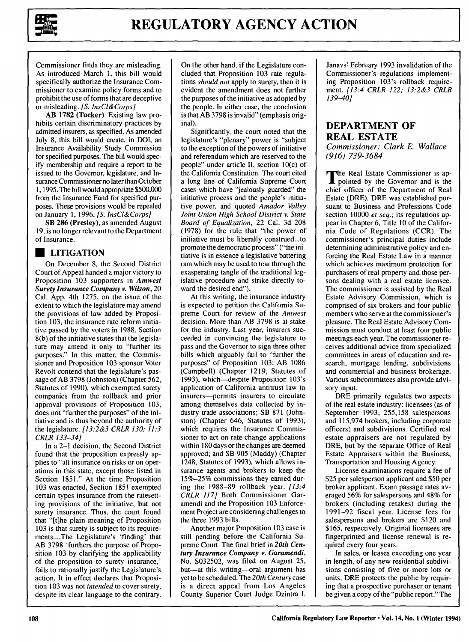

Commissioner finds they are misleading. As introduced March 1, this bill would specifically authorize the Insurance Commissioner to examine policy forms and to prohibit the use of forms that are deceptive or misleading. *[S. InsCl&Corps]*

AB 1782 (Tucker). Existing law prohibits certain discriminatory practices by admitted insurers, as specified. As amended July 8, this bill would create, in DOI, an Insurance Availability Study Commission for specified purposes. The bill would specify membership and require a report to be issued to the Governor, legislature, and Insurance Commissioner no later than October 1, 1995. The bill would appropriate \$500,000 from the Insurance Fund for specified purposes. These provisions would be repealed on January 1, 1996. *[S. InsCl&Corps]*

SB **286** (Presley), as amended August 19, is no longer relevant to the Department of Insurance.

#### **\* LITIGATION**

On December **8,** the Second District Court of Appeal handed a major victory to Proposition **103** supporters in *Amwest Surety Insurance Company v. Wilson,* 20 Cal. **App.** 4th **1275,** on the issue of the extent to which the legislature may amend the provisions of law added **by** Proposition **103,** the insurance rate reform initiative passed **by** the voters in **1988.** Section **8(b)** of the initiative states that the legislature may amend it only to "further its purposes." In this matter, the Commissioner and Proposition **103** sponsor Voter Revolt contend that the legislature's passage of AB **3798** (Johnston) (Chapter 562, Statutes of **1990),** which exempted surety companies from the rollback and prior approval provisions of Proposition **103,** does not "further the purposes" of the initiative and is thus beyond the authority of the legislature. *[13:2&3 CRLR 130; 11:3 CRLR 133-34]*

In a 2-1 decision, the Second District found that the proposition expressly applies to "all insurance on risks or on operations in this state, except those listed in Section 1851." At the time Proposition 103 was enacted, Section 1851 exempted certain types insurance from the ratesetting provisions of the initiative, but not surety insurance. Thus, the court found that "[t]he plain meaning of Proposition 103 is that surety is subject to its requirements....The Legislature's 'finding' that AB 3798 'furthers the purpose of Proposition 103 by clarifying the applicability of the proposition to surety insurance,' fails to rationally justify the Legislature's action. It in effect declares that Proposition 103 was not *intended* to cover surety, despite its clear language to the contrary.

On the other hand, if the Legislature concluded that Proposition 103 rate regulations *should not* apply to surety, then it is evident the amendment does not further the purposes of the initiative as adopted by the people. In either case, the conclusion is that AB 3798 is invalid" (emphasis original).

Significantly, the court noted that the legislature's "plenary" power is "subject to the exception of the powers of initiative and referendum which are reserved to the people" under article II, section 10(c) of the California Constitution. The court cited a long line of California Supreme Court cases which have "jealously guarded" the initiative process and the people's initiative power, and quoted *Amador Valley Joint Union High School District v. State Board of Equalization,* 22 Cal. 3d 208 (1978) for the rule that "the power of initiative must be liberally construed...to promote the democratic process" ("the initiative is in essence a legislative battering ram which may be used to tear through the exasperating tangle of the traditional legislative procedure and strike directly toward the desired end").

At this writing, the insurance industry is expected to petition the California Supreme Court for review of the *Amwest* decision. More than AB 3798 is at stake for the industry. Last year, insurers succeeded in convincing the legislature to pass and the Governor to sign three other bills which arguably fail to "further the purposes" of Proposition 103: AB 1086 (Campbell) (Chapter 1219, Statutes of 1993), which-despite Proposition 103's application of California antitrust law to insurers-permits insurers to circulate among themselves data collected by industry trade associations; SB 871 (Johnston) (Chapter 646, Statutes of 1993), which requires the Insurance Commissioner to act on rate change applications within 180 days or the changes are deemed approved; and SB 905 (Maddy) (Chapter 1248, Statutes of 1993), which allows insurance agents and brokers to keep the 15%-25% commissions they earned during the 1988-89 rollback year. *[13:4 CRLR 117]* Both Commissioner Garamendi and the Proposition 103 Enforcement Project are considering challenges to the three 1993 bills.

Another major Proposition 103 case is still pending before the California Supreme Court. The final brief in *20th Century Insurance Company v. Garamendi,* No. S032502, was filed on August 25, but-at this writing-oral argument has yet to be scheduled. The *20th Century* case is a direct appeal from Los Angeles County Superior Court Judge Dzintra I. Janavs' February 1993 invalidation of the Commissioner's regulations implementing Proposition 103's rollback requirement. *[13:4 CRLR 122; 13:2&3 CRLR 139-40]*

## **DEPARTMENT OF REAL ESTATE**

*Commissioner: Clark E. Wallace (916) 739-3684*

The Real Estate Commissioner is appointed by the Governor and is the chief officer of the Department of Real Estate (DRE). DRE was established pursuant to Business and Professions Code section 10000 *et seq.;* its regulations appear in Chapter 6, Title 10 of the California Code of Regulations (CCR). The commissioner's principal duties include determining administrative policy and enforcing the Real Estate Law in a manner which achieves maximum protection for purchasers of real property and those persons dealing with a real estate licensee. The commissioner is assisted by the Real Estate Advisory Commission, which is comprised of six brokers and four public members who serve at the commissioner's pleasure. The Real Estate Advisory Commission must conduct at least four public meetings each year. The commissioner receives additional advice from specialized committees in areas of education and research, mortgage lending, subdivisions and commercial and business brokerage. Various subcommittees also provide advisory input.

DRE primarily regulates two aspects of the real estate industry: licensees (as of September 1993, 255,158 salespersons and 115,974 brokers, including corporate officers) and subdivisions. Certified real estate appraisers are not regulated by DRE, but by the separate Office of Real Estate Appraisers within the Business, Transportation and Housing Agency.

License examinations require a fee of \$25 per salesperson applicant and \$50 per broker applicant. Exam passage rates averaged 56% for salespersons and 48% for brokers (including retakes) during the 1991-92 fiscal year. License fees for salespersons and brokers are \$120 and \$165, respectively. Original licensees are fingerprinted and license renewal is required every four years.

In sales, or leases exceeding one year in length, of any new residential subdivisions consisting of five or more lots or units, DRE protects the public by requiring that a prospective purchaser or tenant be given a copy of the "public report." The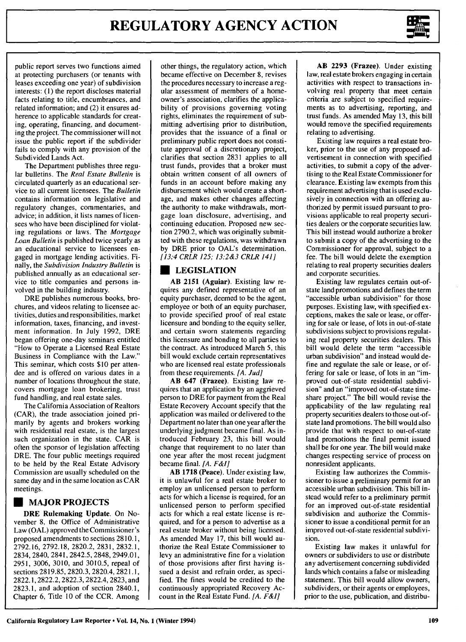

public report serves two functions aimed at protecting purchasers (or tenants with leases exceeding one year) of subdivision interests: **(1)** the report discloses material facts relating to title, encumbrances, and related information; and (2) it ensures adherence to applicable standards for creating, operating, financing, and documenting the project. The commissioner will not issue the public report if the subdivider fails to comply with any provision of the Subdivided Lands Act.

The Department publishes three regular bulletins. The *Real Estate Bulletin* is circulated quarterly as an educational service to all current licensees. The *Bulletin* contains information on legislative and regulatory changes, commentaries, and advice; in addition, it lists names of licensees who have been disciplined for violating regulations or laws. The *Mortgage Loan Bulletin* is published twice yearly as an educational service to licensees engaged in mortgage lending activities. Finally, the *Subdivision Industry Bulletin* is published annually as an educational service to title companies and persons involved in the building industry.

DRE publishes numerous books, brochures, and videos relating to licensee activities, duties and responsibilities, market information, taxes, financing, and investment information. In July 1992, DRE began offering one-day seminars entitled "How to Operate a Licensed Real Estate Business in Compliance with the Law." This seminar, which costs \$10 per attendee and is offered on various dates in a number of locations throughout the state, covers mortgage loan brokering, trust fund handling, and real estate sales.

The California Association of Realtors (CAR), the trade association joined primarily by agents and brokers working with residential real estate, is the largest such organization in the state. CAR is often the sponsor of legislation affecting DRE. The four public meetings required to be held by the Real Estate Advisory Commission are usually scheduled on the same day and in the same location as CAR meetings.

# **U MAJOR PROJECTS**

**DRE Rulemaking Update. On** November **8, the** Office of Administrative Law **(OAL)** approved the Commissioner's proposed amendments to sections **2810.1, 2792.16, 2792.18, 2820.2, 2831, 2832.1,** 2834, 2840, 2841, 2842.5, **2848,** 2949.01, **2951, 3006, 3010,** and **3010.5,** repeal of sections **2819.85, 2820.3,** 2820.4, **2821.1,** 2822.1,2822.2, **2822.3,** 2822.4, **2823,** and **2823.1,** and adoption of section 2840.1, Chapter **6,** Title **10** of the CCR. Among other things, the regulatory action, which became effective on December 8, revises the procedures necessary to increase a regular assessment of members of a homeowner's association, clarifies the applicability of provisions governing voting rights, eliminates the requirement of submitting advertising prior to distribution, provides that the issuance of a final or preliminary public report does not constitute approval of a discretionary project, clarifies that section 2831 applies to all trust funds, provides that a broker must obtain written consent of all owners of funds in an account before making any disbursement which would create a shortage, and makes other changes affecting the authority to make withdrawals, mortgage loan disclosure, advertising, and continuing education. Proposed new section 2790.2, which was originally submitted with these regulations, was withdrawn by DRE prior to OAL's determination. *[13:4 CRLR 125; 13:2&3 CRLR 141]*

### **U LEGISLATION**

**AB 2151** (Aguiar). Existing law requires any defined representative of an equity purchaser, deemed to **be** the agent, employee or both of an equity purchaser, to provide specified proof of real estate licensure and bonding to the equity seller, and certain sworn statements regarding this licensure and bonding to all parties to the contract. As introduced March 5, this bill would exclude certain representatives who are licensed real estate professionals from these requirements. *[A. Jud]*

**AB 647 (Frazee).** Existing law requires that an application **by** an aggrieved person to DRE for payment from the Real Estate Recovery Account specify that the application was mailed or delivered to the Department no later than one year after the underlying judgment became final. As introduced February **23,** this bill would change that requirement to no later than one year after the most recent judgment became final. *[A. F&I]*

AB **1718** (Peace). Under existing law, it is unlawful for a real estate broker to employ an unlicensed person to perform acts for which a license is required, for an unlicensed person to perform specified acts for which a real estate license is required, and for a person to advertise as a real estate broker without being licensed. As amended May 17, this bill would authorize the Real Estate Commissioner to levy an administrative fine for a violation of those provisions after first having issued a desist and refrain order, as specified. The fines would be credited to the continuously appropriated Recovery Account in the Real Estate Fund. *[A. F&I]*

**AB 2293** (Frazee). Under existing law, real estate brokers engaging in certain activities with respect to transactions involving real property that meet certain criteria are subject to specified requirements as to advertising, reporting, and trust funds. As amended May **13,** this bill would remove the specified requirements relating to advertising.

Existing law requires a real estate broker, prior to the use of any proposed advertisement in connection with specified activities, to submit a copy of the advertising to the Real Estate Commissioner for clearance. Existing law exempts from this requirement advertising that is used exclusively in connection with an offering authorized **by** permit issued pursuant to provisions applicable to real property securities dealers or the corporate securities law. This bill instead would authorize a broker to submit a copy of the advertising to the Commissioner for approval, subject to a fee. The bill would delete the exemption relating to real property securities dealers and corporate securities.

Existing law regulates certain out-ofstate land promotions and defines the term "accessible urban subdivision" for those purposes. Existing law, with specified exceptions, makes the sale or lease, or offering for sale or lease, of lots in out-of-state subdivisions subject to provisions regulating real property securities dealers. This bill would delete the term "accessible urban subdivision" and instead would define and regulate the sale or lease, or offering for sale or lease, of lots in an "improved out-of-state residential subdivision" and an "improved out-of-state timeshare project." The bill would revise the applicability of the law regulating real property securities dealers to those out-ofstate land promotions. The bill would also provide that with respect to out-of-state land promotions the final permit issued shall be for one year. The bill would make changes respecting service of process on nonresident applicants.

Existing law authorizes the Commissioner to issue a preliminary permit for an accessible urban subdivision. This bill instead would refer to a preliminary permit for an improved out-of-state residential subdivision and authorize the Commissioner to issue a conditional permit for an improved out-of-state residential subdivision.

Existing law makes it unlawful for owners or subdividers to use or distribute any advertisement concerning subdivided lands which contains a false or misleading statement. This bill would allow owners, subdividers, or their agents or employees, prior to the use, publication, and distribu-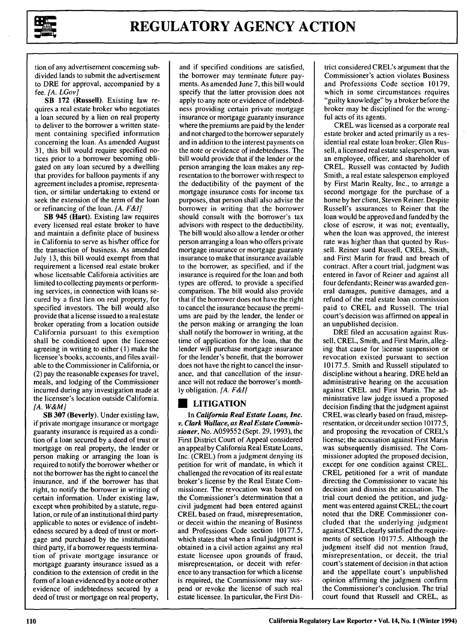

tion of any advertisement concerning subdivided lands to submit the advertisement to DRE for approval, accompanied by a fee. *[A. LGov]*

SB 172 (Russell). Existing law requires a real estate broker who negotiates a loan secured by a lien on real property to deliver to the borrower a written statement containing specified information concerning the loan. As amended August 31, this bill would require specified notices prior to a borrower becoming obligated on any loan secured by a dwelling that provides for balloon payments if any agreement includes a promise, representation, or similar undertaking to extend or seek the extension of the term of the loan or refinancing of the loan. *[A. F&I]*

SB 945 (Hart). Existing law requires every licensed real estate broker to have and maintain a definite place of business in California to serve as his/her office for the transaction of business. As amended July 13, this bill would exempt from that requirement a licensed real estate broker whose licensable California activities are limited to collecting payments or performing services, in connection with loans secured by a first lien on real property, for specified investors. The bill would also provide that a license issued to a real estate broker operating from a location outside California pursuant to this exemption shall be conditioned upon the licensee agreeing in writing to either **(1)** make the licensee's books, accounts, and files available to the Commissioner in California, or (2) pay the reasonable expenses for travel, meals, and lodging of the Commissioner incurred during any investigation made at the licensee's location outside California. *[A. W&MJ*

SB **307** (Beverly). Under existing law, if private mortgage insurance or mortgage guaranty insurance is required as a condition of a loan secured by a deed of trust or mortgage on real property, the lender or person making or arranging the loan is required to notify the borrower whether or not the borrower has the right to cancel the insurance, and if the borrower has that right, to notify the borrower in writing of certain information. Under existing law, except when prohibited by a statute, regulation, or rule of an institutional third party applicable to notes or evidence of indebtedness secured by a deed of trust or mortgage and purchased by the institutional third party, if a borrower requests termination of private mortgage insurance or mortgage guaranty insurance issued as a condition to the extension of credit in the form of a loan evidenced by a note or other evidence of indebtedness secured by a deed of trust or mortgage on real property,

and if specified conditions are satisfied, the borrower may terminate future payments. As amended June 7, this bill would specify that the latter provision does not apply to any note or evidence of indebtedness providing certain private mortgage insurance or mortgage guaranty insurance where the premiums are paid by the lender and not charged to the borrower separately and in addition to the interest payments on the note or evidence of indebtedness. The bill would provide that if the lender or the person arranging the loan makes any representation to the borrower with respect to the deductibility of the payment of the mortgage insurance costs for income tax purposes, that person shall also advise the borrower in writing that the borrower should consult with the borrower's tax advisors with respect to the deductibility. The bill would also allow a lender or other person arranging a loan who offers private mortgage insurance or mortgage guaranty insurance to make that insurance available to the borrower, as specified, and if the insurance is required for the loan and both types are offered, to provide a specified comparison. The bill would also provide that if the borrower does not have the right to cancel the insurance because the premiums are paid by the lender, the lender or the person making or arranging the loan shall notify the borrower in writing, at the time of application for the loan, that the lender will purchase mortgage insurance for the lender's benefit, that the borrower does not have the right to cancel the insurance, and that cancellation of the insurance will not reduce the borrower's monthly obligation. *[A. F&I]*

## **U** LITIGATION

In *California Real Estate Loans, Inc. v. Clark Wallace, as Real Estate Commissioner,* No. **A059552** (Sept. **29, 1993),** the First District Court of Appeal considered an appeal **by** California Real Estate Loans, Inc. (CREL) from a judgment denying its petition for writ of mandate, in which it challenged the revocation of its real estate broker's license by the Real Estate Commissioner. The revocation was based on the Commissioner's determination that a civil judgment had been entered against CREL based on fraud, misrepresentation, or deceit within the meaning of Business and Professions Code section 10177.5, which states that when a final judgment is obtained in a civil action against any real estate licensee upon grounds of fraud, misrepresentation, or deceit with reference to any transaction for which a license is required, the Commissioner may suspend or revoke the license of such real estate licensee. In particular, the First District considered CREL's argument that the Commissioner's action violates Business and Professions Code section 10179, which in some circumstances requires "guilty knowledge" by a broker before the broker may be disciplined for the wrongful acts of its agents.

CREL was licensed as a corporate real estate broker and acted primarily as a residential real estate loan broker; Glen Russell, a licensed real estate salesperson, was an employee, officer, and shareholder of CREL. Russell was contacted by Judith Smith, a real estate salesperson employed by First Marin Realty, Inc., to arrange a second mortgage for the purchase of a home by her client, Steven Reiner. Despite Russell's assurances to Reiner that the loan would be approved and funded by the close of escrow, it was not; eventually, when the loan was approved, the interest rate was higher than that quoted by Russell. Reiner sued Russell, CREL, Smith, and First Marin for fraud and breach of contract. After a court trial, judgment was entered in favor of Reiner and against all four defendants; Reiner was awarded general damages, punitive damages, and a refund of the real estate loan commission paid to CREL and Russell. The trial court's decision was affirmed on appeal in an unpublished decision.

DRE filed an accusation against Russell, CREL, Smith, and First Marin, alleging that cause for license suspension or revocation existed pursuant to section 10177.5. Smith and Russell stipulated to discipline without a hearing. DRE held an administrative hearing on the accusation against CREL and First Marin. The administrative law judge issued a proposed decision finding that the judgment against CREL was clearly based on fraud, misrepresentation, or deceit under section 10177.5, and proposing the revocation of CREL's license; the accusation against First Marin was subsequently dismissed. The Commissioner adopted the proposed decision, except for one condition against CREL. CREL petitioned for a writ of mandate directing the Commissioner to vacate his decision and dismiss the accusation. The trial court denied the petition, and judgment was entered against CREL; the court noted that the DRE Commissioner concluded that the underlying judgment against CREL clearly satisfied the requirements of section 10177.5. Although the judgment itself did not mention fraud, misrepresentation, or deceit, the trial court's statement of decision in that action and the appellate court's unpublished opinion affirming the judgment confirm the Commissioner's conclusion. The trial court found that Russell and CREL, as